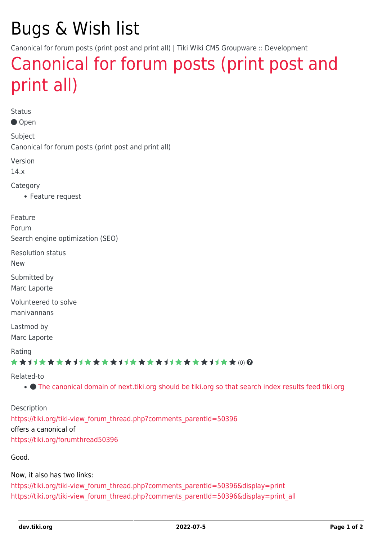# Bugs & Wish list

Canonical for forum posts (print post and print all) | Tiki Wiki CMS Groupware :: Development

## [Canonical for forum posts \(print post and](https://dev.tiki.org/item5182-Canonical-for-forum-posts-print-post-and-print-all) [print all\)](https://dev.tiki.org/item5182-Canonical-for-forum-posts-print-post-and-print-all)

Status

Open

Subject Canonical for forum posts (print post and print all)

Version

14.x

Category

Feature request

Feature

Forum

Search engine optimization (SEO)

Resolution status

New

Submitted by Marc Laporte

Volunteered to solve manivannans

Lastmod by Marc Laporte

Rating

★★11★★★★11★★★★11★★★★11★★★★+11★★ (0) @

#### Related-to

[The canonical domain of next.tiki.org should be tiki.org so that search index results feed tiki.org](https://dev.tiki.org/item7947-The-canonical-domain-of-next-tiki-org-should-be-tiki-org-so-that-search-index-results-feed-tiki-org)

Description [https://tiki.org/tiki-view\\_forum\\_thread.php?comments\\_parentId=50396](https://tiki.org/tiki-view_forum_thread.php?comments_parentId=50396) offers a canonical of <https://tiki.org/forumthread50396>

Good.

Now, it also has two links:

[https://tiki.org/tiki-view\\_forum\\_thread.php?comments\\_parentId=50396&display=print](https://tiki.org/tiki-view_forum_thread.php?comments_parentId=50396&display=print) [https://tiki.org/tiki-view\\_forum\\_thread.php?comments\\_parentId=50396&display=print\\_all](https://tiki.org/tiki-view_forum_thread.php?comments_parentId=50396&display=print_all)